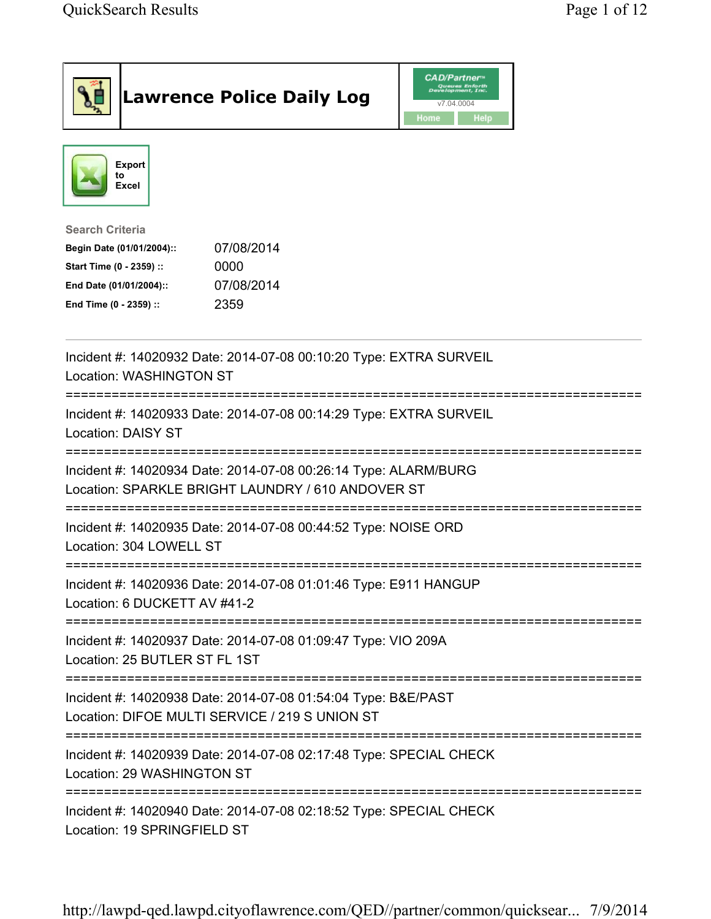| <b>Lawrence Police Daily Log</b>                                                                                                                                                 | <b>CAD/Partner</b> <sup>*</sup><br>Queues Enforth<br>Development, Inc.<br>v7.04.0004<br>Home<br>Help |  |
|----------------------------------------------------------------------------------------------------------------------------------------------------------------------------------|------------------------------------------------------------------------------------------------------|--|
| <b>Export</b><br>to<br>Excel                                                                                                                                                     |                                                                                                      |  |
| <b>Search Criteria</b><br>07/08/2014<br>Begin Date (01/01/2004)::<br>Start Time (0 - 2359) ::<br>0000<br>07/08/2014<br>End Date (01/01/2004)::<br>2359<br>End Time (0 - 2359) :: |                                                                                                      |  |
| Incident #: 14020932 Date: 2014-07-08 00:10:20 Type: EXTRA SURVEIL<br><b>Location: WASHINGTON ST</b>                                                                             |                                                                                                      |  |
| Incident #: 14020933 Date: 2014-07-08 00:14:29 Type: EXTRA SURVEIL<br><b>Location: DAISY ST</b>                                                                                  |                                                                                                      |  |
| Incident #: 14020934 Date: 2014-07-08 00:26:14 Type: ALARM/BURG<br>Location: SPARKLE BRIGHT LAUNDRY / 610 ANDOVER ST                                                             |                                                                                                      |  |
| Incident #: 14020935 Date: 2014-07-08 00:44:52 Type: NOISE ORD<br>Location: 304 LOWELL ST                                                                                        |                                                                                                      |  |
| Incident #: 14020936 Date: 2014-07-08 01:01:46 Type: E911 HANGUP<br>Location: 6 DUCKETT AV #41-2                                                                                 |                                                                                                      |  |
| Incident #: 14020937 Date: 2014-07-08 01:09:47 Type: VIO 209A<br>Location: 25 BUTLER ST FL 1ST                                                                                   |                                                                                                      |  |
| Incident #: 14020938 Date: 2014-07-08 01:54:04 Type: B&E/PAST<br>Location: DIFOE MULTI SERVICE / 219 S UNION ST                                                                  |                                                                                                      |  |
| Incident #: 14020939 Date: 2014-07-08 02:17:48 Type: SPECIAL CHECK<br>Location: 29 WASHINGTON ST                                                                                 |                                                                                                      |  |
| Incident #: 14020940 Date: 2014-07-08 02:18:52 Type: SPECIAL CHECK<br>Location: 19 SPRINGFIELD ST                                                                                |                                                                                                      |  |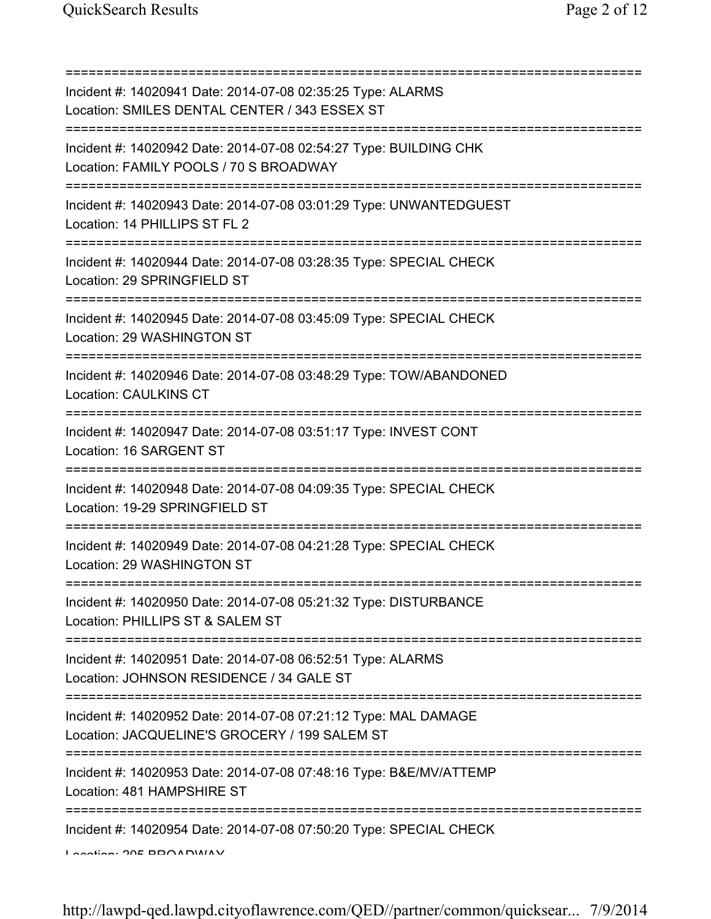=========================================================================== Incident #: 14020941 Date: 2014-07-08 02:35:25 Type: ALARMS Location: SMILES DENTAL CENTER / 343 ESSEX ST =========================================================================== Incident #: 14020942 Date: 2014-07-08 02:54:27 Type: BUILDING CHK Location: FAMILY POOLS / 70 S BROADWAY =========================================================================== Incident #: 14020943 Date: 2014-07-08 03:01:29 Type: UNWANTEDGUEST Location: 14 PHILLIPS ST FL 2 =========================================================================== Incident #: 14020944 Date: 2014-07-08 03:28:35 Type: SPECIAL CHECK Location: 29 SPRINGFIELD ST =========================================================================== Incident #: 14020945 Date: 2014-07-08 03:45:09 Type: SPECIAL CHECK Location: 29 WASHINGTON ST =========================================================================== Incident #: 14020946 Date: 2014-07-08 03:48:29 Type: TOW/ABANDONED Location: CAULKINS CT =========================================================================== Incident #: 14020947 Date: 2014-07-08 03:51:17 Type: INVEST CONT Location: 16 SARGENT ST =========================================================================== Incident #: 14020948 Date: 2014-07-08 04:09:35 Type: SPECIAL CHECK Location: 19-29 SPRINGFIELD ST =========================================================================== Incident #: 14020949 Date: 2014-07-08 04:21:28 Type: SPECIAL CHECK Location: 29 WASHINGTON ST =========================================================================== Incident #: 14020950 Date: 2014-07-08 05:21:32 Type: DISTURBANCE Location: PHILLIPS ST & SALEM ST =========================================================================== Incident #: 14020951 Date: 2014-07-08 06:52:51 Type: ALARMS Location: JOHNSON RESIDENCE / 34 GALE ST =========================================================================== Incident #: 14020952 Date: 2014-07-08 07:21:12 Type: MAL DAMAGE Location: JACQUELINE'S GROCERY / 199 SALEM ST =========================================================================== Incident #: 14020953 Date: 2014-07-08 07:48:16 Type: B&E/MV/ATTEMP Location: 481 HAMPSHIRE ST =========================================================================== Incident #: 14020954 Date: 2014-07-08 07:50:20 Type: SPECIAL CHECK Location: 205 BROADWAY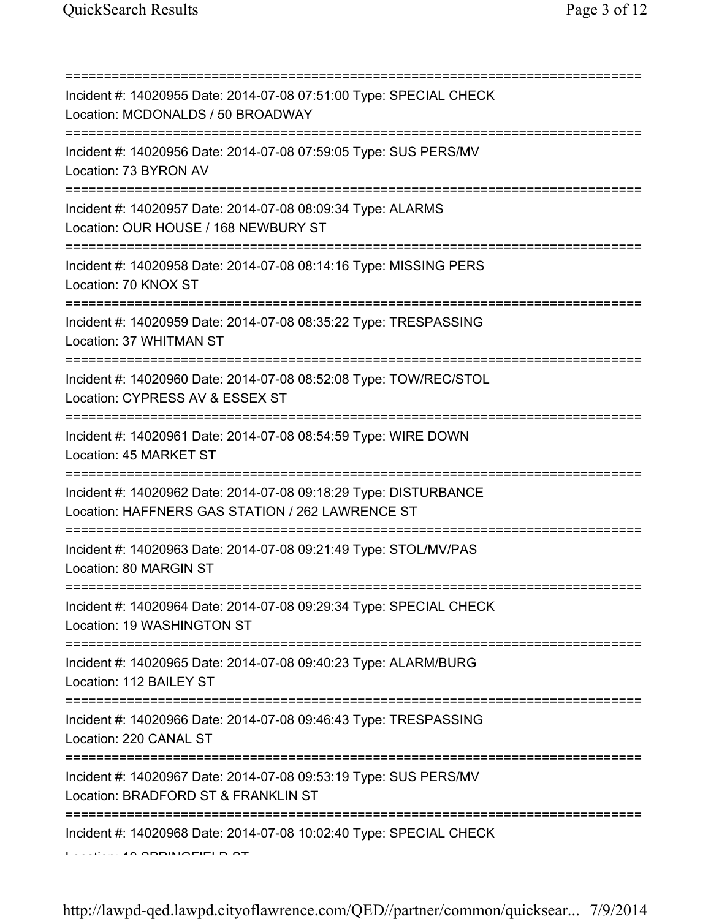| Incident #: 14020955 Date: 2014-07-08 07:51:00 Type: SPECIAL CHECK<br>Location: MCDONALDS / 50 BROADWAY                                                 |
|---------------------------------------------------------------------------------------------------------------------------------------------------------|
| :======================<br>Incident #: 14020956 Date: 2014-07-08 07:59:05 Type: SUS PERS/MV<br>Location: 73 BYRON AV<br>_______________________________ |
| Incident #: 14020957 Date: 2014-07-08 08:09:34 Type: ALARMS<br>Location: OUR HOUSE / 168 NEWBURY ST                                                     |
| Incident #: 14020958 Date: 2014-07-08 08:14:16 Type: MISSING PERS<br>Location: 70 KNOX ST                                                               |
| Incident #: 14020959 Date: 2014-07-08 08:35:22 Type: TRESPASSING<br>Location: 37 WHITMAN ST                                                             |
| Incident #: 14020960 Date: 2014-07-08 08:52:08 Type: TOW/REC/STOL<br>Location: CYPRESS AV & ESSEX ST                                                    |
| Incident #: 14020961 Date: 2014-07-08 08:54:59 Type: WIRE DOWN<br>Location: 45 MARKET ST                                                                |
| Incident #: 14020962 Date: 2014-07-08 09:18:29 Type: DISTURBANCE<br>Location: HAFFNERS GAS STATION / 262 LAWRENCE ST                                    |
| Incident #: 14020963 Date: 2014-07-08 09:21:49 Type: STOL/MV/PAS<br>Location: 80 MARGIN ST                                                              |
| Incident #: 14020964 Date: 2014-07-08 09:29:34 Type: SPECIAL CHECK<br>Location: 19 WASHINGTON ST                                                        |
| Incident #: 14020965 Date: 2014-07-08 09:40:23 Type: ALARM/BURG<br>Location: 112 BAILEY ST                                                              |
| Incident #: 14020966 Date: 2014-07-08 09:46:43 Type: TRESPASSING<br>Location: 220 CANAL ST                                                              |
| Incident #: 14020967 Date: 2014-07-08 09:53:19 Type: SUS PERS/MV<br>Location: BRADFORD ST & FRANKLIN ST                                                 |
| Incident #: 14020968 Date: 2014-07-08 10:02:40 Type: SPECIAL CHECK                                                                                      |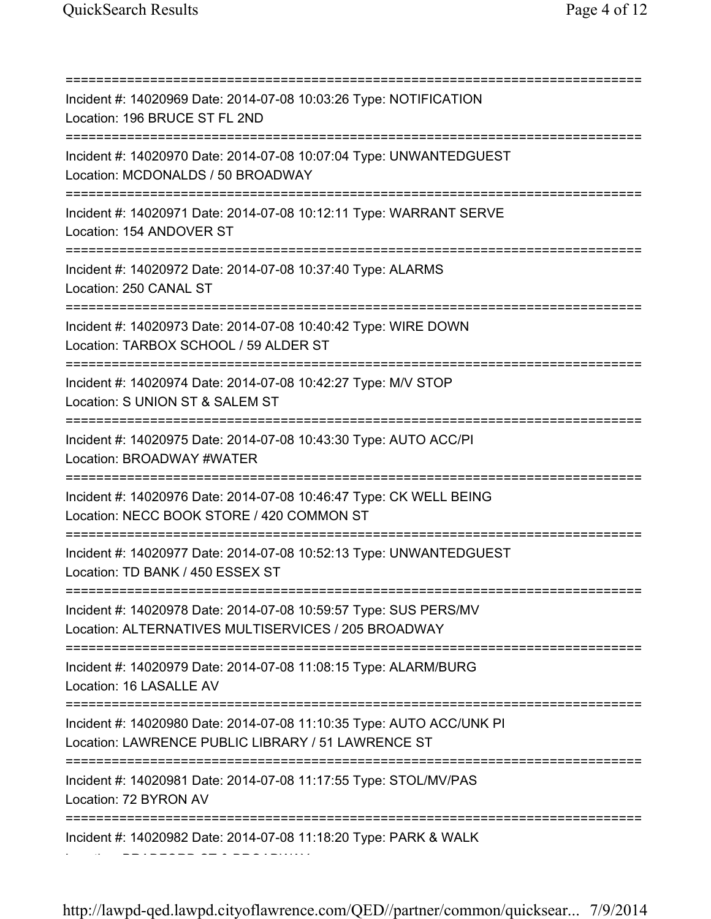=========================================================================== Incident #: 14020969 Date: 2014-07-08 10:03:26 Type: NOTIFICATION Location: 196 BRUCE ST FL 2ND =========================================================================== Incident #: 14020970 Date: 2014-07-08 10:07:04 Type: UNWANTEDGUEST Location: MCDONALDS / 50 BROADWAY =========================================================================== Incident #: 14020971 Date: 2014-07-08 10:12:11 Type: WARRANT SERVE Location: 154 ANDOVER ST =========================================================================== Incident #: 14020972 Date: 2014-07-08 10:37:40 Type: ALARMS Location: 250 CANAL ST =========================================================================== Incident #: 14020973 Date: 2014-07-08 10:40:42 Type: WIRE DOWN Location: TARBOX SCHOOL / 59 ALDER ST =========================================================================== Incident #: 14020974 Date: 2014-07-08 10:42:27 Type: M/V STOP Location: S UNION ST & SALEM ST =========================================================================== Incident #: 14020975 Date: 2014-07-08 10:43:30 Type: AUTO ACC/PI Location: BROADWAY #WATER =========================================================================== Incident #: 14020976 Date: 2014-07-08 10:46:47 Type: CK WELL BEING Location: NECC BOOK STORE / 420 COMMON ST =========================================================================== Incident #: 14020977 Date: 2014-07-08 10:52:13 Type: UNWANTEDGUEST Location: TD BANK / 450 ESSEX ST =========================================================================== Incident #: 14020978 Date: 2014-07-08 10:59:57 Type: SUS PERS/MV Location: ALTERNATIVES MULTISERVICES / 205 BROADWAY =========================================================================== Incident #: 14020979 Date: 2014-07-08 11:08:15 Type: ALARM/BURG Location: 16 LASALLE AV =========================================================================== Incident #: 14020980 Date: 2014-07-08 11:10:35 Type: AUTO ACC/UNK PI Location: LAWRENCE PUBLIC LIBRARY / 51 LAWRENCE ST =========================================================================== Incident #: 14020981 Date: 2014-07-08 11:17:55 Type: STOL/MV/PAS Location: 72 BYRON AV =========================================================================== Incident #: 14020982 Date: 2014-07-08 11:18:20 Type: PARK & WALK Location: BRADFORD ST & BROADWAY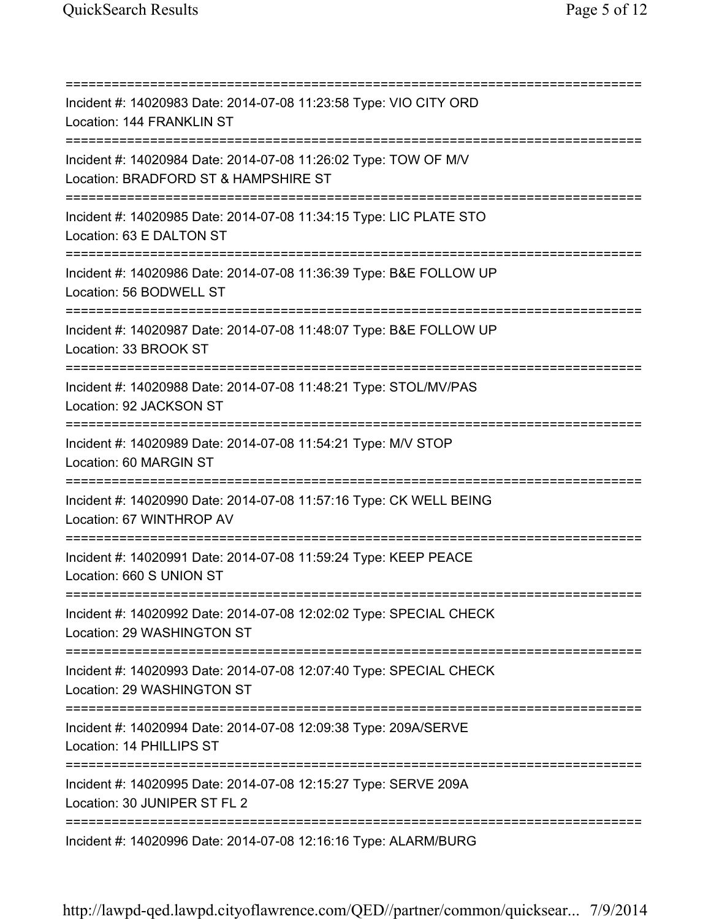=========================================================================== Incident #: 14020983 Date: 2014-07-08 11:23:58 Type: VIO CITY ORD Location: 144 FRANKLIN ST =========================================================================== Incident #: 14020984 Date: 2014-07-08 11:26:02 Type: TOW OF M/V Location: BRADFORD ST & HAMPSHIRE ST =========================================================================== Incident #: 14020985 Date: 2014-07-08 11:34:15 Type: LIC PLATE STO Location: 63 E DALTON ST =========================================================================== Incident #: 14020986 Date: 2014-07-08 11:36:39 Type: B&E FOLLOW UP Location: 56 BODWELL ST =========================================================================== Incident #: 14020987 Date: 2014-07-08 11:48:07 Type: B&E FOLLOW UP Location: 33 BROOK ST =========================================================================== Incident #: 14020988 Date: 2014-07-08 11:48:21 Type: STOL/MV/PAS Location: 92 JACKSON ST =========================================================================== Incident #: 14020989 Date: 2014-07-08 11:54:21 Type: M/V STOP Location: 60 MARGIN ST =========================================================================== Incident #: 14020990 Date: 2014-07-08 11:57:16 Type: CK WELL BEING Location: 67 WINTHROP AV =========================================================================== Incident #: 14020991 Date: 2014-07-08 11:59:24 Type: KEEP PEACE Location: 660 S UNION ST =========================================================================== Incident #: 14020992 Date: 2014-07-08 12:02:02 Type: SPECIAL CHECK Location: 29 WASHINGTON ST =========================================================================== Incident #: 14020993 Date: 2014-07-08 12:07:40 Type: SPECIAL CHECK Location: 29 WASHINGTON ST =========================================================================== Incident #: 14020994 Date: 2014-07-08 12:09:38 Type: 209A/SERVE Location: 14 PHILLIPS ST =========================================================================== Incident #: 14020995 Date: 2014-07-08 12:15:27 Type: SERVE 209A Location: 30 JUNIPER ST FL 2 =========================================================================== Incident #: 14020996 Date: 2014-07-08 12:16:16 Type: ALARM/BURG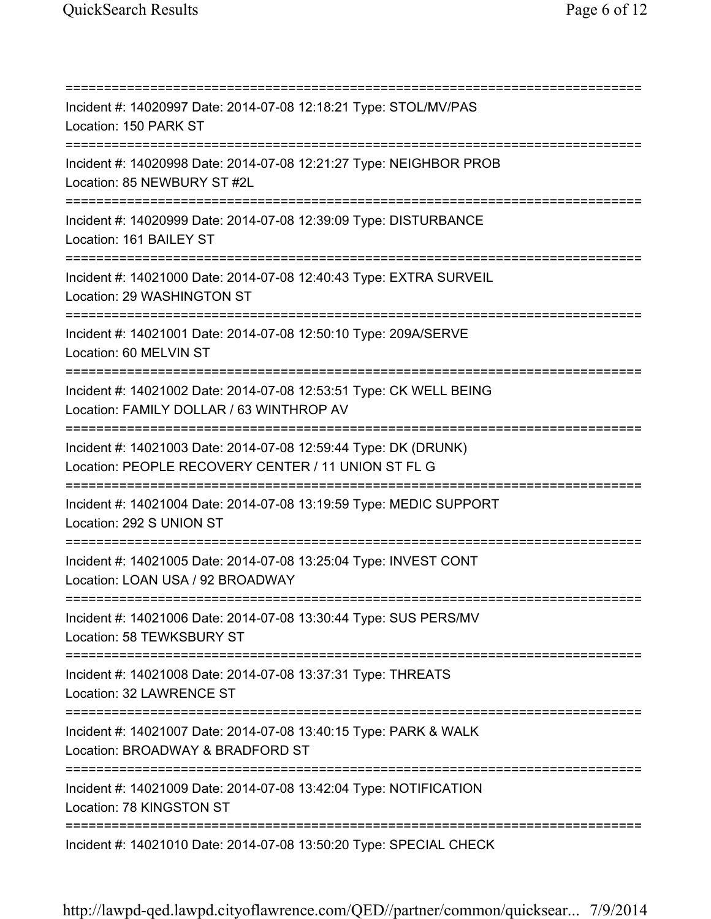=========================================================================== Incident #: 14020997 Date: 2014-07-08 12:18:21 Type: STOL/MV/PAS Location: 150 PARK ST =========================================================================== Incident #: 14020998 Date: 2014-07-08 12:21:27 Type: NEIGHBOR PROB Location: 85 NEWBURY ST #2L =========================================================================== Incident #: 14020999 Date: 2014-07-08 12:39:09 Type: DISTURBANCE Location: 161 BAILEY ST =========================================================================== Incident #: 14021000 Date: 2014-07-08 12:40:43 Type: EXTRA SURVEIL Location: 29 WASHINGTON ST =========================================================================== Incident #: 14021001 Date: 2014-07-08 12:50:10 Type: 209A/SERVE Location: 60 MELVIN ST =========================================================================== Incident #: 14021002 Date: 2014-07-08 12:53:51 Type: CK WELL BEING Location: FAMILY DOLLAR / 63 WINTHROP AV =========================================================================== Incident #: 14021003 Date: 2014-07-08 12:59:44 Type: DK (DRUNK) Location: PEOPLE RECOVERY CENTER / 11 UNION ST FL G =========================================================================== Incident #: 14021004 Date: 2014-07-08 13:19:59 Type: MEDIC SUPPORT Location: 292 S UNION ST =========================================================================== Incident #: 14021005 Date: 2014-07-08 13:25:04 Type: INVEST CONT Location: LOAN USA / 92 BROADWAY =========================================================================== Incident #: 14021006 Date: 2014-07-08 13:30:44 Type: SUS PERS/MV Location: 58 TEWKSBURY ST =========================================================================== Incident #: 14021008 Date: 2014-07-08 13:37:31 Type: THREATS Location: 32 LAWRENCE ST =========================================================================== Incident #: 14021007 Date: 2014-07-08 13:40:15 Type: PARK & WALK Location: BROADWAY & BRADFORD ST =========================================================================== Incident #: 14021009 Date: 2014-07-08 13:42:04 Type: NOTIFICATION Location: 78 KINGSTON ST =========================================================================== Incident #: 14021010 Date: 2014-07-08 13:50:20 Type: SPECIAL CHECK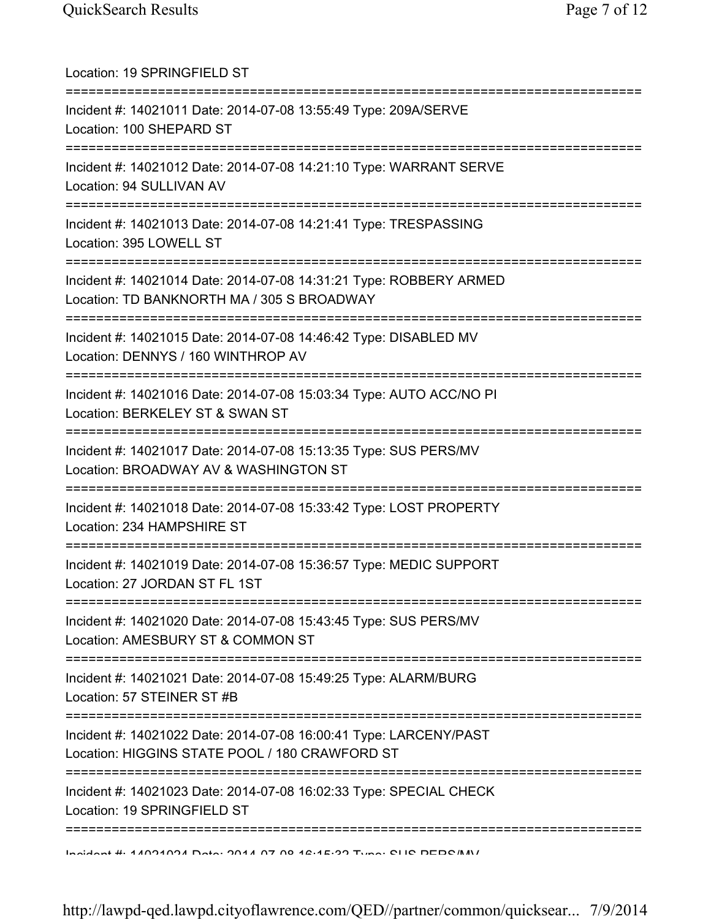| Location: 19 SPRINGFIELD ST                                                                                                                   |
|-----------------------------------------------------------------------------------------------------------------------------------------------|
| Incident #: 14021011 Date: 2014-07-08 13:55:49 Type: 209A/SERVE<br>Location: 100 SHEPARD ST                                                   |
| Incident #: 14021012 Date: 2014-07-08 14:21:10 Type: WARRANT SERVE<br>Location: 94 SULLIVAN AV<br>======================================      |
| Incident #: 14021013 Date: 2014-07-08 14:21:41 Type: TRESPASSING<br>Location: 395 LOWELL ST<br>====================================           |
| Incident #: 14021014 Date: 2014-07-08 14:31:21 Type: ROBBERY ARMED<br>Location: TD BANKNORTH MA / 305 S BROADWAY                              |
| Incident #: 14021015 Date: 2014-07-08 14:46:42 Type: DISABLED MV<br>Location: DENNYS / 160 WINTHROP AV                                        |
| Incident #: 14021016 Date: 2014-07-08 15:03:34 Type: AUTO ACC/NO PI<br>Location: BERKELEY ST & SWAN ST<br>=========                           |
| Incident #: 14021017 Date: 2014-07-08 15:13:35 Type: SUS PERS/MV<br>Location: BROADWAY AV & WASHINGTON ST                                     |
| Incident #: 14021018 Date: 2014-07-08 15:33:42 Type: LOST PROPERTY<br>Location: 234 HAMPSHIRE ST                                              |
| Incident #: 14021019 Date: 2014-07-08 15:36:57 Type: MEDIC SUPPORT<br>Location: 27 JORDAN ST FL 1ST<br>====================================== |
| Incident #: 14021020 Date: 2014-07-08 15:43:45 Type: SUS PERS/MV<br>Location: AMESBURY ST & COMMON ST                                         |
| ==========================<br>Incident #: 14021021 Date: 2014-07-08 15:49:25 Type: ALARM/BURG<br>Location: 57 STEINER ST #B                   |
| Incident #: 14021022 Date: 2014-07-08 16:00:41 Type: LARCENY/PAST<br>Location: HIGGINS STATE POOL / 180 CRAWFORD ST                           |
| Incident #: 14021023 Date: 2014-07-08 16:02:33 Type: SPECIAL CHECK<br>Location: 19 SPRINGFIELD ST                                             |
| Incident #: 44004004 Data: 0044 07 00 46:45:00 Tune: CLIC DEDC/M/                                                                             |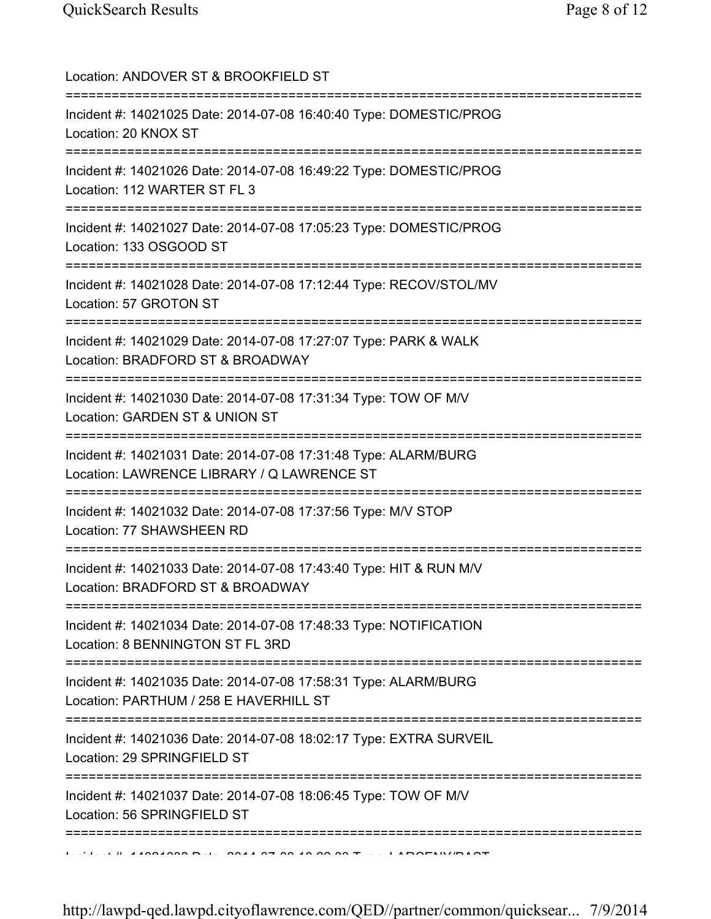Location: ANDOVER ST & BROOKFIELD ST =========================================================================== Incident #: 14021025 Date: 2014-07-08 16:40:40 Type: DOMESTIC/PROG Location: 20 KNOX ST =========================================================================== Incident #: 14021026 Date: 2014-07-08 16:49:22 Type: DOMESTIC/PROG Location: 112 WARTER ST FL 3 =========================================================================== Incident #: 14021027 Date: 2014-07-08 17:05:23 Type: DOMESTIC/PROG Location: 133 OSGOOD ST =========================================================================== Incident #: 14021028 Date: 2014-07-08 17:12:44 Type: RECOV/STOL/MV Location: 57 GROTON ST =========================================================================== Incident #: 14021029 Date: 2014-07-08 17:27:07 Type: PARK & WALK Location: BRADFORD ST & BROADWAY =========================================================================== Incident #: 14021030 Date: 2014-07-08 17:31:34 Type: TOW OF M/V Location: GARDEN ST & UNION ST =========================================================================== Incident #: 14021031 Date: 2014-07-08 17:31:48 Type: ALARM/BURG Location: LAWRENCE LIBRARY / Q LAWRENCE ST =========================================================================== Incident #: 14021032 Date: 2014-07-08 17:37:56 Type: M/V STOP Location: 77 SHAWSHEEN RD =========================================================================== Incident #: 14021033 Date: 2014-07-08 17:43:40 Type: HIT & RUN M/V Location: BRADFORD ST & BROADWAY =========================================================================== Incident #: 14021034 Date: 2014-07-08 17:48:33 Type: NOTIFICATION Location: 8 BENNINGTON ST FL 3RD =========================================================================== Incident #: 14021035 Date: 2014-07-08 17:58:31 Type: ALARM/BURG Location: PARTHUM / 258 E HAVERHILL ST =========================================================================== Incident #: 14021036 Date: 2014-07-08 18:02:17 Type: EXTRA SURVEIL Location: 29 SPRINGFIELD ST =========================================================================== Incident #: 14021037 Date: 2014-07-08 18:06:45 Type: TOW OF M/V Location: 56 SPRINGFIELD ST ===========================================================================  $11.410212228$  Date: 2014 07 08 18:22:33 Type: LARCENY/PAST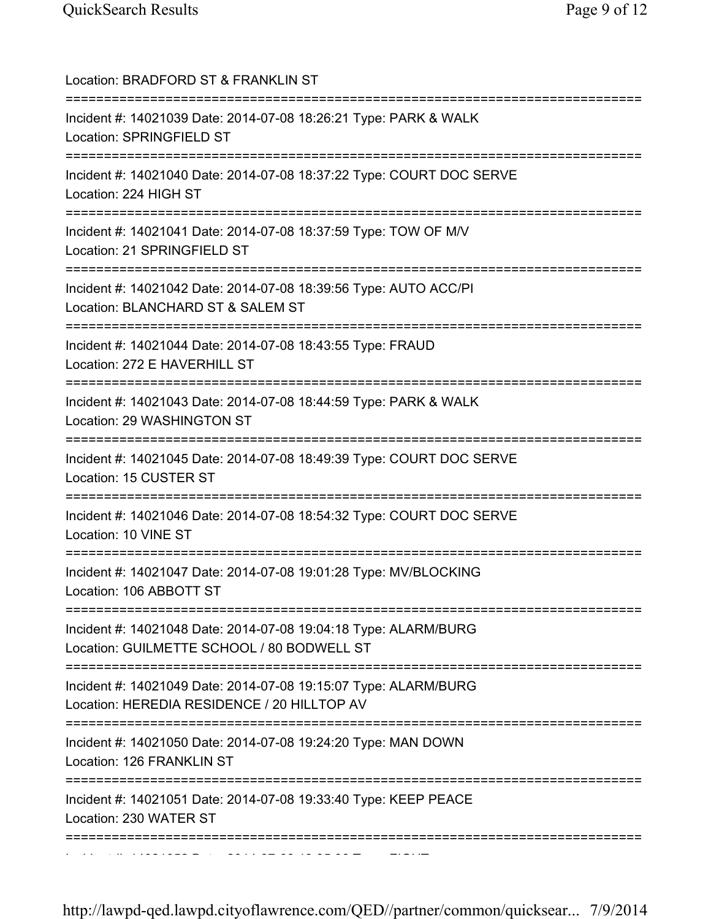| Location: BRADFORD ST & FRANKLIN ST                                                                                                |
|------------------------------------------------------------------------------------------------------------------------------------|
| Incident #: 14021039 Date: 2014-07-08 18:26:21 Type: PARK & WALK<br>Location: SPRINGFIELD ST                                       |
| Incident #: 14021040 Date: 2014-07-08 18:37:22 Type: COURT DOC SERVE<br>Location: 224 HIGH ST                                      |
| Incident #: 14021041 Date: 2014-07-08 18:37:59 Type: TOW OF M/V<br>Location: 21 SPRINGFIELD ST                                     |
| Incident #: 14021042 Date: 2014-07-08 18:39:56 Type: AUTO ACC/PI<br>Location: BLANCHARD ST & SALEM ST<br>========================= |
| Incident #: 14021044 Date: 2014-07-08 18:43:55 Type: FRAUD<br>Location: 272 E HAVERHILL ST                                         |
| Incident #: 14021043 Date: 2014-07-08 18:44:59 Type: PARK & WALK<br>Location: 29 WASHINGTON ST                                     |
| Incident #: 14021045 Date: 2014-07-08 18:49:39 Type: COURT DOC SERVE<br>Location: 15 CUSTER ST                                     |
| Incident #: 14021046 Date: 2014-07-08 18:54:32 Type: COURT DOC SERVE<br>Location: 10 VINE ST                                       |
| Incident #: 14021047 Date: 2014-07-08 19:01:28 Type: MV/BLOCKING<br>Location: 106 ABBOTT ST                                        |
| Incident #: 14021048 Date: 2014-07-08 19:04:18 Type: ALARM/BURG<br>Location: GUILMETTE SCHOOL / 80 BODWELL ST                      |
| Incident #: 14021049 Date: 2014-07-08 19:15:07 Type: ALARM/BURG<br>Location: HEREDIA RESIDENCE / 20 HILLTOP AV                     |
| Incident #: 14021050 Date: 2014-07-08 19:24:20 Type: MAN DOWN<br>Location: 126 FRANKLIN ST                                         |
| Incident #: 14021051 Date: 2014-07-08 19:33:40 Type: KEEP PEACE<br>Location: 230 WATER ST                                          |
|                                                                                                                                    |

Incident #: 14021052 Date: 2014 07 08 19:35:36 Type: FIGHT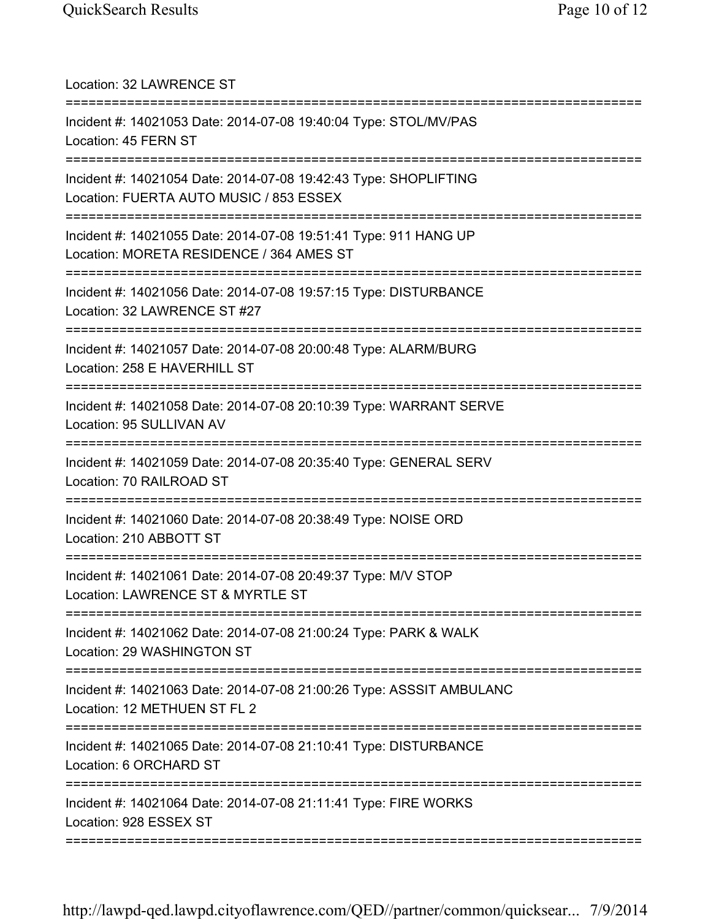| Location: 32 LAWRENCE ST                                                                                                         |
|----------------------------------------------------------------------------------------------------------------------------------|
| Incident #: 14021053 Date: 2014-07-08 19:40:04 Type: STOL/MV/PAS<br>Location: 45 FERN ST                                         |
| Incident #: 14021054 Date: 2014-07-08 19:42:43 Type: SHOPLIFTING<br>Location: FUERTA AUTO MUSIC / 853 ESSEX                      |
| Incident #: 14021055 Date: 2014-07-08 19:51:41 Type: 911 HANG UP<br>Location: MORETA RESIDENCE / 364 AMES ST                     |
| Incident #: 14021056 Date: 2014-07-08 19:57:15 Type: DISTURBANCE<br>Location: 32 LAWRENCE ST #27                                 |
| Incident #: 14021057 Date: 2014-07-08 20:00:48 Type: ALARM/BURG<br>Location: 258 E HAVERHILL ST                                  |
| Incident #: 14021058 Date: 2014-07-08 20:10:39 Type: WARRANT SERVE<br>Location: 95 SULLIVAN AV                                   |
| Incident #: 14021059 Date: 2014-07-08 20:35:40 Type: GENERAL SERV<br>Location: 70 RAILROAD ST                                    |
| Incident #: 14021060 Date: 2014-07-08 20:38:49 Type: NOISE ORD<br>Location: 210 ABBOTT ST<br>;================================== |
| Incident #: 14021061 Date: 2014-07-08 20:49:37 Type: M/V STOP<br>Location: LAWRENCE ST & MYRTLE ST                               |
| Incident #: 14021062 Date: 2014-07-08 21:00:24 Type: PARK & WALK<br>Location: 29 WASHINGTON ST                                   |
| Incident #: 14021063 Date: 2014-07-08 21:00:26 Type: ASSSIT AMBULANC<br>Location: 12 METHUEN ST FL 2                             |
| Incident #: 14021065 Date: 2014-07-08 21:10:41 Type: DISTURBANCE<br>Location: 6 ORCHARD ST                                       |
| Incident #: 14021064 Date: 2014-07-08 21:11:41 Type: FIRE WORKS<br>Location: 928 ESSEX ST                                        |
|                                                                                                                                  |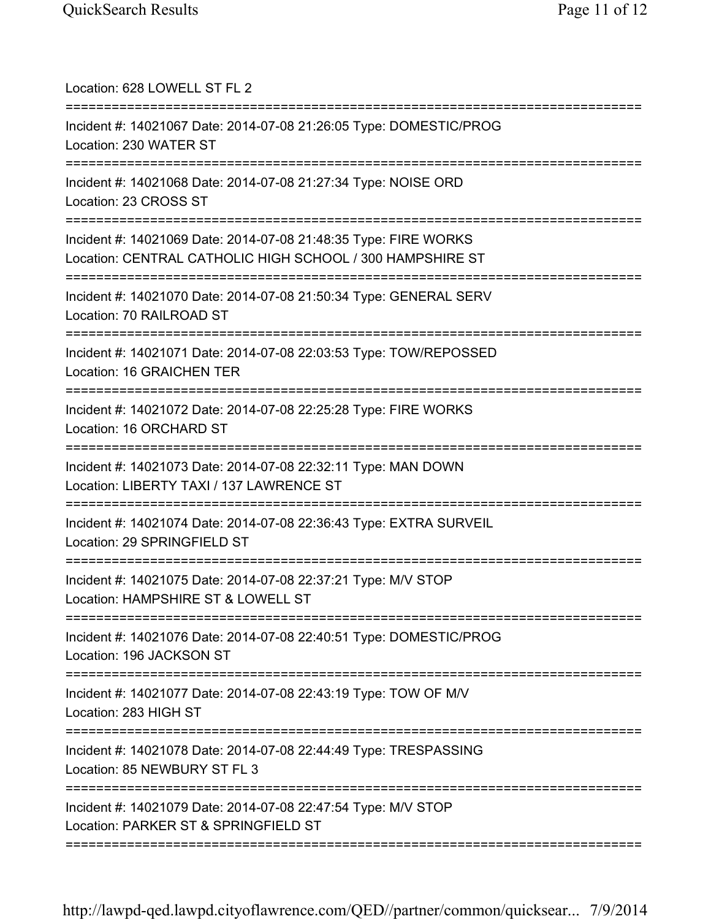| Location: 628 LOWELL ST FL 2                                                                                                        |
|-------------------------------------------------------------------------------------------------------------------------------------|
| Incident #: 14021067 Date: 2014-07-08 21:26:05 Type: DOMESTIC/PROG<br>Location: 230 WATER ST<br>=================================== |
| Incident #: 14021068 Date: 2014-07-08 21:27:34 Type: NOISE ORD<br>Location: 23 CROSS ST<br>;===================================     |
| Incident #: 14021069 Date: 2014-07-08 21:48:35 Type: FIRE WORKS<br>Location: CENTRAL CATHOLIC HIGH SCHOOL / 300 HAMPSHIRE ST        |
| Incident #: 14021070 Date: 2014-07-08 21:50:34 Type: GENERAL SERV<br>Location: 70 RAILROAD ST                                       |
| Incident #: 14021071 Date: 2014-07-08 22:03:53 Type: TOW/REPOSSED<br>Location: 16 GRAICHEN TER                                      |
| Incident #: 14021072 Date: 2014-07-08 22:25:28 Type: FIRE WORKS<br>Location: 16 ORCHARD ST<br>===================================   |
| Incident #: 14021073 Date: 2014-07-08 22:32:11 Type: MAN DOWN<br>Location: LIBERTY TAXI / 137 LAWRENCE ST                           |
| ==============================<br>Incident #: 14021074 Date: 2014-07-08 22:36:43 Type: EXTRA SURVEIL<br>Location: 29 SPRINGFIELD ST |
| Incident #: 14021075 Date: 2014-07-08 22:37:21 Type: M/V STOP<br>Location: HAMPSHIRE ST & LOWELL ST                                 |
| Incident #: 14021076 Date: 2014-07-08 22:40:51 Type: DOMESTIC/PROG<br>Location: 196 JACKSON ST                                      |
| Incident #: 14021077 Date: 2014-07-08 22:43:19 Type: TOW OF M/V<br>Location: 283 HIGH ST                                            |
| Incident #: 14021078 Date: 2014-07-08 22:44:49 Type: TRESPASSING<br>Location: 85 NEWBURY ST FL 3                                    |
| Incident #: 14021079 Date: 2014-07-08 22:47:54 Type: M/V STOP<br>Location: PARKER ST & SPRINGFIELD ST                               |
|                                                                                                                                     |